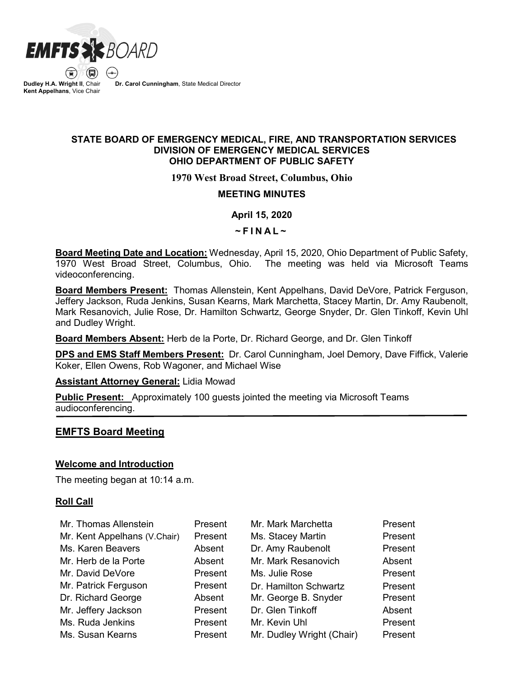

 $\left( \bigoplus \right)$ **Dudley H.A. Wright II**, Chair **Kent Appelhans**, Vice Chair

**Dr. Carol Cunningham**, State Medical Director

### **STATE BOARD OF EMERGENCY MEDICAL, FIRE, AND TRANSPORTATION SERVICES DIVISION OF EMERGENCY MEDICAL SERVICES OHIO DEPARTMENT OF PUBLIC SAFETY**

### **1970 West Broad Street, Columbus, Ohio**

### **MEETING MINUTES**

### **April 15, 2020**

 $~\sim$ FINAL $~\sim$ 

**Board Meeting Date and Location:** Wednesday, April 15, 2020, Ohio Department of Public Safety, 1970 West Broad Street, Columbus, Ohio. The meeting was held via Microsoft Teams videoconferencing.

**Board Members Present:** Thomas Allenstein, Kent Appelhans, David DeVore, Patrick Ferguson, Jeffery Jackson, Ruda Jenkins, Susan Kearns, Mark Marchetta, Stacey Martin, Dr. Amy Raubenolt, Mark Resanovich, Julie Rose, Dr. Hamilton Schwartz, George Snyder, Dr. Glen Tinkoff, Kevin Uhl and Dudley Wright.

**Board Members Absent:** Herb de la Porte, Dr. Richard George, and Dr. Glen Tinkoff

**DPS and EMS Staff Members Present:** Dr. Carol Cunningham, Joel Demory, Dave Fiffick, Valerie Koker, Ellen Owens, Rob Wagoner, and Michael Wise

**Assistant Attorney General:** Lidia Mowad

**Public Present:** Approximately 100 guests jointed the meeting via Microsoft Teams audioconferencing.

### **EMFTS Board Meeting**

### **Welcome and Introduction**

The meeting began at 10:14 a.m.

### **Roll Call**

| Mr. Thomas Allenstein        | Present | Mr. Mark Marchetta        | Present |
|------------------------------|---------|---------------------------|---------|
| Mr. Kent Appelhans (V.Chair) | Present | Ms. Stacey Martin         | Present |
| Ms. Karen Beavers            | Absent  | Dr. Amy Raubenolt         | Present |
| Mr. Herb de la Porte         | Absent  | Mr. Mark Resanovich       | Absent  |
| Mr. David DeVore             | Present | Ms. Julie Rose            | Present |
| Mr. Patrick Ferguson         | Present | Dr. Hamilton Schwartz     | Present |
| Dr. Richard George           | Absent  | Mr. George B. Snyder      | Present |
| Mr. Jeffery Jackson          | Present | Dr. Glen Tinkoff          | Absent  |
| Ms. Ruda Jenkins             | Present | Mr. Kevin Uhl             | Present |
| Ms. Susan Kearns             | Present | Mr. Dudley Wright (Chair) | Present |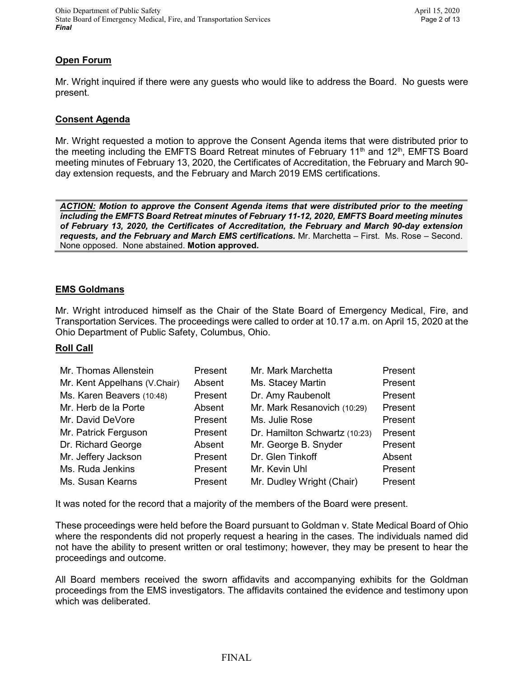# **Open Forum**

Mr. Wright inquired if there were any guests who would like to address the Board. No guests were present.

### **Consent Agenda**

Mr. Wright requested a motion to approve the Consent Agenda items that were distributed prior to the meeting including the EMFTS Board Retreat minutes of February 11<sup>th</sup> and 12<sup>th</sup>, EMFTS Board meeting minutes of February 13, 2020, the Certificates of Accreditation, the February and March 90 day extension requests, and the February and March 2019 EMS certifications.

*ACTION: Motion to approve the Consent Agenda items that were distributed prior to the meeting including the EMFTS Board Retreat minutes of February 11-12, 2020, EMFTS Board meeting minutes of February 13, 2020, the Certificates of Accreditation, the February and March 90-day extension requests, and the February and March EMS certifications.* Mr. Marchetta – First. Ms. Rose – Second. None opposed. None abstained. **Motion approved.**

### **EMS Goldmans**

Mr. Wright introduced himself as the Chair of the State Board of Emergency Medical, Fire, and Transportation Services. The proceedings were called to order at 10.17 a.m. on April 15, 2020 at the Ohio Department of Public Safety, Columbus, Ohio.

# **Roll Call**

| Mr. Thomas Allenstein        | Present | Mr. Mark Marchetta            | Present |
|------------------------------|---------|-------------------------------|---------|
| Mr. Kent Appelhans (V.Chair) | Absent  | Ms. Stacey Martin             | Present |
| Ms. Karen Beavers (10:48)    | Present | Dr. Amy Raubenolt             | Present |
| Mr. Herb de la Porte         | Absent  | Mr. Mark Resanovich (10:29)   | Present |
| Mr. David DeVore             | Present | Ms. Julie Rose                | Present |
| Mr. Patrick Ferguson         | Present | Dr. Hamilton Schwartz (10:23) | Present |
| Dr. Richard George           | Absent  | Mr. George B. Snyder          | Present |
| Mr. Jeffery Jackson          | Present | Dr. Glen Tinkoff              | Absent  |
| Ms. Ruda Jenkins             | Present | Mr. Kevin Uhl                 | Present |
| Ms. Susan Kearns             | Present | Mr. Dudley Wright (Chair)     | Present |

It was noted for the record that a majority of the members of the Board were present.

These proceedings were held before the Board pursuant to Goldman v. State Medical Board of Ohio where the respondents did not properly request a hearing in the cases. The individuals named did not have the ability to present written or oral testimony; however, they may be present to hear the proceedings and outcome.

All Board members received the sworn affidavits and accompanying exhibits for the Goldman proceedings from the EMS investigators. The affidavits contained the evidence and testimony upon which was deliberated.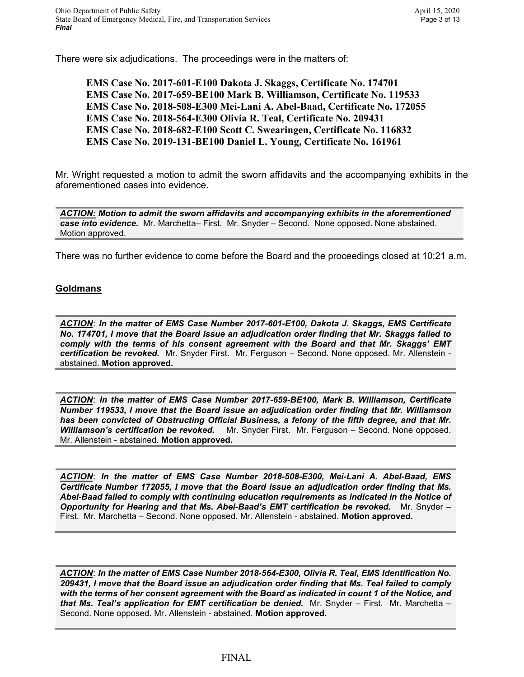There were six adjudications. The proceedings were in the matters of:

**EMS Case No. 2017-601-E100 Dakota J. Skaggs, Certificate No. 174701 EMS Case No. 2017-659-BE100 Mark B. Williamson, Certificate No. 119533 EMS Case No. 2018-508-E300 Mei-Lani A. Abel-Baad, Certificate No. 172055 EMS Case No. 2018-564-E300 Olivia R. Teal, Certificate No. 209431 EMS Case No. 2018-682-E100 Scott C. Swearingen, Certificate No. 116832 EMS Case No. 2019-131-BE100 Daniel L. Young, Certificate No. 161961**

Mr. Wright requested a motion to admit the sworn affidavits and the accompanying exhibits in the aforementioned cases into evidence.

*ACTION: Motion to admit the sworn affidavits and accompanying exhibits in the aforementioned case into evidence.* Mr. Marchetta– First. Mr. Snyder – Second. None opposed. None abstained. Motion approved.

There was no further evidence to come before the Board and the proceedings closed at 10:21 a.m.

### **Goldmans**

*ACTION*: *In the matter of EMS Case Number 2017-601-E100, Dakota J. Skaggs, EMS Certificate No. 174701, I move that the Board issue an adjudication order finding that Mr. Skaggs failed to comply with the terms of his consent agreement with the Board and that Mr. Skaggs' EMT certification be revoked.* Mr. Snyder First. Mr. Ferguson – Second. None opposed. Mr. Allenstein abstained. **Motion approved.**

*ACTION*: *In the matter of EMS Case Number 2017-659-BE100, Mark B. Williamson, Certificate Number 119533, I move that the Board issue an adjudication order finding that Mr. Williamson has been convicted of Obstructing Official Business, a felony of the fifth degree, and that Mr. Williamson's certification be revoked.* Mr. Snyder First. Mr. Ferguson – Second. None opposed. Mr. Allenstein - abstained. **Motion approved.**

*ACTION*: *In the matter of EMS Case Number 2018-508-E300, Mei-Lani A. Abel-Baad, EMS Certificate Number 172055, I move that the Board issue an adjudication order finding that Ms. Abel-Baad failed to comply with continuing education requirements as indicated in the Notice of Opportunity for Hearing and that Ms. Abel-Baad's EMT certification be revoked.* Mr. Snyder – First. Mr. Marchetta – Second. None opposed. Mr. Allenstein - abstained. **Motion approved.**

*ACTION*: *In the matter of EMS Case Number 2018-564-E300, Olivia R. Teal, EMS Identification No. 209431, I move that the Board issue an adjudication order finding that Ms. Teal failed to comply with the terms of her consent agreement with the Board as indicated in count 1 of the Notice, and that Ms. Teal's application for EMT certification be denied.* Mr. Snyder – First. Mr. Marchetta – Second. None opposed. Mr. Allenstein - abstained. **Motion approved.**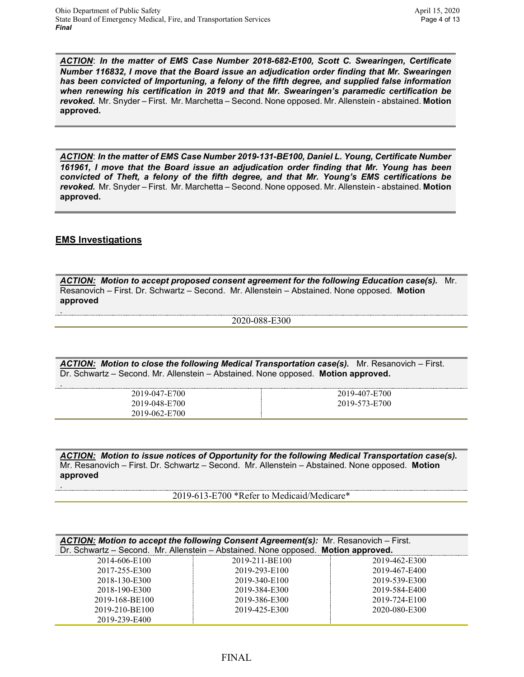*ACTION*: *In the matter of EMS Case Number 2018-682-E100, Scott C. Swearingen, Certificate Number 116832, I move that the Board issue an adjudication order finding that Mr. Swearingen has been convicted of Importuning, a felony of the fifth degree, and supplied false information when renewing his certification in 2019 and that Mr. Swearingen's paramedic certification be revoked.* Mr. Snyder – First. Mr. Marchetta – Second. None opposed. Mr. Allenstein - abstained. **Motion approved.**

*ACTION*: *In the matter of EMS Case Number 2019-131-BE100, Daniel L. Young, Certificate Number 161961, I move that the Board issue an adjudication order finding that Mr. Young has been convicted of Theft, a felony of the fifth degree, and that Mr. Young's EMS certifications be revoked.* Mr. Snyder – First. Mr. Marchetta – Second. None opposed. Mr. Allenstein - abstained. **Motion approved.**

### **EMS Investigations**

.

.

.

*ACTION: Motion to accept proposed consent agreement for the following Education case(s).* Mr. Resanovich – First. Dr. Schwartz – Second. Mr. Allenstein – Abstained. None opposed. **Motion approved**

#### 2020-088-E300

*ACTION: Motion to close the following Medical Transportation case(s).* Mr. Resanovich – First. Dr. Schwartz – Second. Mr. Allenstein – Abstained. None opposed. **Motion approved.**

| 2019-047-E700 | 2019-407-E700 |
|---------------|---------------|
| 2019-048-E700 | 2019-573-E700 |
| 2019-062-E700 |               |

*ACTION: Motion to issue notices of Opportunity for the following Medical Transportation case(s).*  Mr. Resanovich – First. Dr. Schwartz – Second. Mr. Allenstein – Abstained. None opposed. **Motion approved**

2019-613-E700 \*Refer to Medicaid/Medicare\*

| <b>ACTION:</b> Motion to accept the following Consent Agreement(s): Mr. Resanovich – First.<br>Dr. Schwartz - Second. Mr. Allenstein - Abstained. None opposed. Motion approved. |                |               |  |  |  |
|----------------------------------------------------------------------------------------------------------------------------------------------------------------------------------|----------------|---------------|--|--|--|
| 2014-606-E100                                                                                                                                                                    | 2019-211-BE100 | 2019-462-E300 |  |  |  |
| 2017-255-E300                                                                                                                                                                    | 2019-293-E100  | 2019-467-E400 |  |  |  |
| 2018-130-E300                                                                                                                                                                    | 2019-340-E100  | 2019-539-E300 |  |  |  |
| 2018-190-E300                                                                                                                                                                    | 2019-384-E300  | 2019-584-E400 |  |  |  |
| 2019-168-BE100                                                                                                                                                                   | 2019-386-E300  | 2019-724-E100 |  |  |  |
| 2019-210-BE100                                                                                                                                                                   | 2019-425-E300  | 2020-080-E300 |  |  |  |
| 2019-239-E400                                                                                                                                                                    |                |               |  |  |  |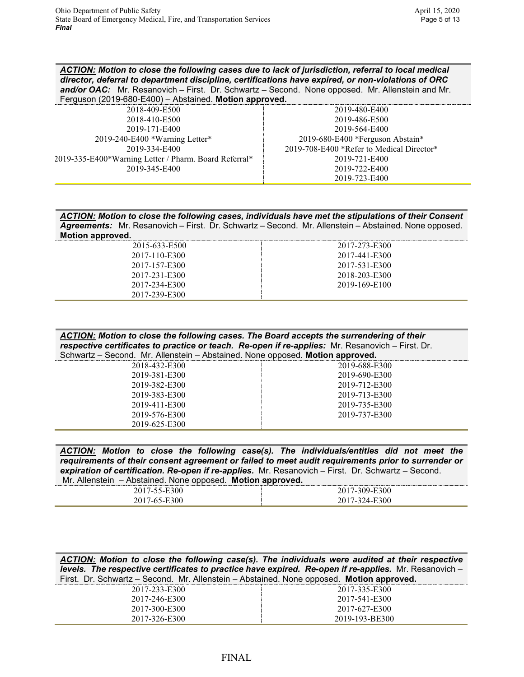*ACTION: Motion to close the following cases due to lack of jurisdiction, referral to local medical director, deferral to department discipline, certifications have expired, or non-violations of ORC*  and/or OAC: Mr. Resanovich – First. Dr. Schwartz – Second. None opposed. Mr. Allenstein and Mr. Ferguson (2019-680-E400) – Abstained. **Motion approved.**

| 2019-480-E400                             |
|-------------------------------------------|
| 2019-486-E500                             |
| 2019-564-E400                             |
| 2019-680-E400 *Ferguson Abstain*          |
| 2019-708-E400 *Refer to Medical Director* |
| 2019-721-E400                             |
| 2019-722-E400                             |
| 2019-723-E400                             |
|                                           |

*ACTION: Motion to close the following cases, individuals have met the stipulations of their Consent Agreements:* Mr. Resanovich – First. Dr. Schwartz – Second. Mr. Allenstein – Abstained. None opposed. **Motion approved.**

| 2015-633-E500 | 2017-273-E300 |
|---------------|---------------|
| 2017-110-E300 | 2017-441-E300 |
| 2017-157-E300 | 2017-531-E300 |
| 2017-231-E300 | 2018-203-E300 |
| 2017-234-E300 | 2019-169-E100 |
| 2017-239-E300 |               |

| ACTION: Motion to close the following cases. The Board accepts the surrendering of their         |
|--------------------------------------------------------------------------------------------------|
| respective certificates to practice or teach. Re-open if re-applies: Mr. Resanovich – First. Dr. |
| Schwartz – Second. Mr. Allenstein – Abstained. None opposed. Motion approved.                    |

| 2018-432-E300 | 2019-688-E300 |
|---------------|---------------|
| 2019-381-E300 | 2019-690-E300 |
| 2019-382-E300 | 2019-712-E300 |
| 2019-383-E300 | 2019-713-E300 |
| 2019-411-E300 | 2019-735-E300 |
| 2019-576-E300 | 2019-737-E300 |
| 2019-625-E300 |               |
|               |               |

| ACTION: Motion to close the following case(s). The individuals/entities did not meet the           |  |  |                                                            |  |  |  |  |
|----------------------------------------------------------------------------------------------------|--|--|------------------------------------------------------------|--|--|--|--|
| requirements of their consent agreement or failed to meet audit requirements prior to surrender or |  |  |                                                            |  |  |  |  |
| expiration of certification. Re-open if re-applies. Mr. Resanovich - First. Dr. Schwartz - Second. |  |  |                                                            |  |  |  |  |
|                                                                                                    |  |  | Mr. Allenstein - Abstained. None opposed. Motion approved. |  |  |  |  |

| E300<br>ו טי<br>. /-77-H | 7-309-E300<br>70          |
|--------------------------|---------------------------|
| E300<br>$-65-F$          | E300<br>74_1<br>'( )<br>. |

*ACTION: Motion to close the following case(s). The individuals were audited at their respective levels. The respective certificates to practice have expired. Re-open if re-applies.* Mr. Resanovich – First. Dr. Schwartz – Second. Mr. Allenstein – Abstained. None opposed. **Motion approved.**

| 2017-233-E300 | 2017-335-E300  |
|---------------|----------------|
| 2017-246-E300 | 2017-541-E300  |
| 2017-300-E300 | 2017-627-E300  |
| 2017-326-E300 | 2019-193-BE300 |
|               |                |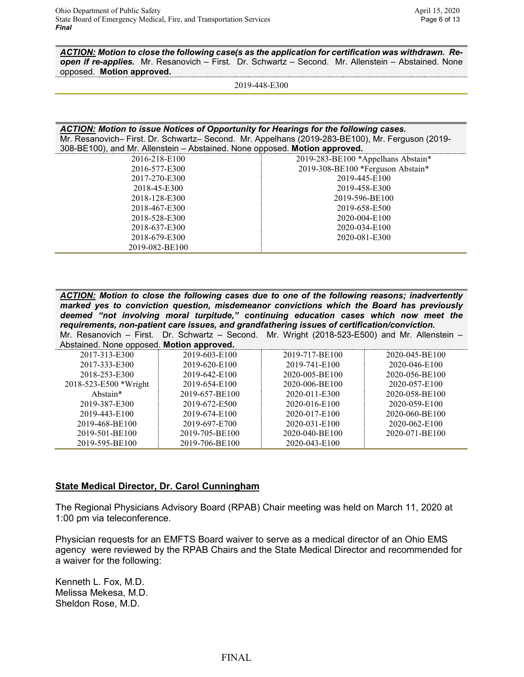*ACTION: Motion to close the following case(s as the application for certification was withdrawn. Reopen if re-applies.* Mr. Resanovich – First. Dr. Schwartz – Second. Mr. Allenstein – Abstained. None opposed. **Motion approved.**

2019-448-E300

*ACTION: Motion to issue Notices of Opportunity for Hearings for the following cases.*  Mr. Resanovich– First. Dr. Schwartz– Second. Mr. Appelhans (2019-283-BE100), Mr. Ferguson (2019- 308-BE100), and Mr. Allenstein – Abstained. None opposed. **Motion approved.**

| 2016-218-E100  | 2019-283-BE100 *Appelhans Abstain* |
|----------------|------------------------------------|
| 2016-577-E300  | 2019-308-BE100 *Ferguson Abstain*  |
| 2017-270-E300  | 2019-445-E100                      |
| 2018-45-E300   | 2019-458-E300                      |
| 2018-128-E300  | 2019-596-BE100                     |
| 2018-467-E300  | 2019-658-E500                      |
| 2018-528-E300  | 2020-004-E100                      |
| 2018-637-E300  | 2020-034-E100                      |
| 2018-679-E300  | 2020-081-E300                      |
| 2019-082-BE100 |                                    |

*ACTION: Motion to close the following cases due to one of the following reasons; inadvertently marked yes to conviction question, misdemeanor convictions which the Board has previously deemed "not involving moral turpitude," continuing education cases which now meet the requirements, non-patient care issues, and grandfathering issues of certification/conviction.* Mr. Resanovich – First. Dr. Schwartz – Second. Mr. Wright (2018-523-E500) and Mr. Allenstein –

| Abstained. None opposed. Motion approved. |                |                |                |
|-------------------------------------------|----------------|----------------|----------------|
| 2017-313-E300                             | 2019-603-E100  | 2019-717-BE100 | 2020-045-BE100 |
| 2017-333-E300                             | 2019-620-E100  | 2019-741-E100  | 2020-046-E100  |
| 2018-253-E300                             | 2019-642-E100  | 2020-005-BE100 | 2020-056-BE100 |
| 2018-523-E500 *Wright                     | 2019-654-E100  | 2020-006-BE100 | 2020-057-E100  |
| Abstain*                                  | 2019-657-BE100 | 2020-011-E300  | 2020-058-BE100 |
| 2019-387-E300                             | 2019-672-E500  | 2020-016-E100  | 2020-059-E100  |
| 2019-443-E100                             | 2019-674-E100  | 2020-017-E100  | 2020-060-BE100 |
| 2019-468-BE100                            | 2019-697-E700  | 2020-031-E100  | 2020-062-E100  |
| 2019-501-BE100                            | 2019-705-BE100 | 2020-040-BE100 | 2020-071-BE100 |
| 2019-595-BE100                            | 2019-706-BE100 | 2020-043-E100  |                |

### **State Medical Director, Dr. Carol Cunningham**

The Regional Physicians Advisory Board (RPAB) Chair meeting was held on March 11, 2020 at 1:00 pm via teleconference.

Physician requests for an EMFTS Board waiver to serve as a medical director of an Ohio EMS agency were reviewed by the RPAB Chairs and the State Medical Director and recommended for a waiver for the following:

Kenneth L. Fox, M.D. Melissa Mekesa, M.D. Sheldon Rose, M.D.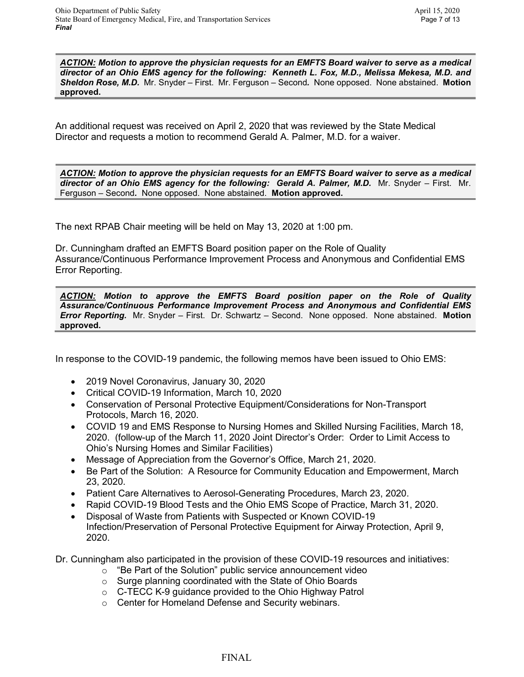*ACTION: Motion to approve the physician requests for an EMFTS Board waiver to serve as a medical director of an Ohio EMS agency for the following: Kenneth L. Fox, M.D., Melissa Mekesa, M.D. and Sheldon Rose, M.D.* Mr. Snyder – First. Mr. Ferguson – Second*.* None opposed. None abstained. **Motion approved.**

An additional request was received on April 2, 2020 that was reviewed by the State Medical Director and requests a motion to recommend Gerald A. Palmer, M.D. for a waiver.

*ACTION: Motion to approve the physician requests for an EMFTS Board waiver to serve as a medical director of an Ohio EMS agency for the following: Gerald A. Palmer, M.D.* Mr. Snyder – First. Mr. Ferguson – Second*.* None opposed. None abstained. **Motion approved.**

The next RPAB Chair meeting will be held on May 13, 2020 at 1:00 pm.

Dr. Cunningham drafted an EMFTS Board position paper on the Role of Quality Assurance/Continuous Performance Improvement Process and Anonymous and Confidential EMS Error Reporting.

*ACTION: Motion to approve the EMFTS Board position paper on the Role of Quality Assurance/Continuous Performance Improvement Process and Anonymous and Confidential EMS Error Reporting.* Mr. Snyder – First. Dr. Schwartz – Second. None opposed. None abstained. **Motion approved.**

In response to the COVID-19 pandemic, the following memos have been issued to Ohio EMS:

- 2019 Novel Coronavirus, January 30, 2020
- Critical COVID-19 Information, March 10, 2020
- Conservation of Personal Protective Equipment/Considerations for Non-Transport Protocols, March 16, 2020.
- COVID 19 and EMS Response to Nursing Homes and Skilled Nursing Facilities, March 18, 2020. (follow-up of the March 11, 2020 Joint Director's Order: Order to Limit Access to Ohio's Nursing Homes and Similar Facilities)
- Message of Appreciation from the Governor's Office, March 21, 2020.
- Be Part of the Solution: A Resource for Community Education and Empowerment, March 23, 2020.
- Patient Care Alternatives to Aerosol-Generating Procedures, March 23, 2020.
- Rapid COVID-19 Blood Tests and the Ohio EMS Scope of Practice, March 31, 2020.
- Disposal of Waste from Patients with Suspected or Known COVID-19 Infection/Preservation of Personal Protective Equipment for Airway Protection, April 9, 2020.

Dr. Cunningham also participated in the provision of these COVID-19 resources and initiatives:

- o "Be Part of the Solution" public service announcement video
- o Surge planning coordinated with the State of Ohio Boards
- o C-TECC K-9 guidance provided to the Ohio Highway Patrol
- o Center for Homeland Defense and Security webinars.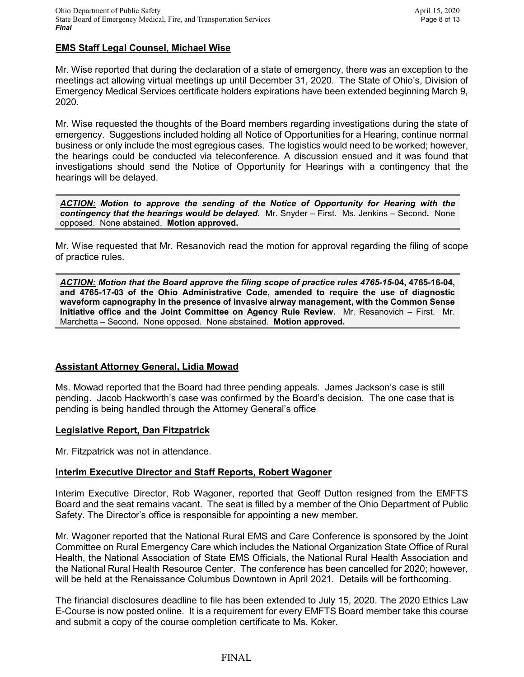### **EMS Staff Legal Counsel, Michael Wise**

Mr. Wise reported that during the declaration of a state of emergency, there was an exception to the meetings act allowing virtual meetings up until December 31, 2020. The State of Ohio's, Division of Emergency Medical Services certificate holders expirations have been extended beginning March 9, 2020.

Mr. Wise requested the thoughts of the Board members regarding investigations during the state of emergency. Suggestions included holding all Notice of Opportunities for a Hearing, continue normal business or only include the most egregious cases. The logistics would need to be worked; however, the hearings could be conducted via teleconference. A discussion ensued and it was found that investigations should send the Notice of Opportunity for Hearings with a contingency that the hearings will be delayed.

*ACTION: Motion to approve the sending of the Notice of Opportunity for Hearing with the contingency that the hearings would be delayed.* Mr. Snyder – First. Ms. Jenkins – Second*.* None opposed. None abstained. **Motion approved.**

Mr. Wise requested that Mr. Resanovich read the motion for approval regarding the filing of scope of practice rules.

*ACTION: Motion that the Board approve the filing scope of practice rules 4765-15***-04, 4765-16-04, and 4765-17-03 of the Ohio Administrative Code, amended to require the use of diagnostic waveform capnography in the presence of invasive airway management, with the Common Sense Initiative office and the Joint Committee on Agency Rule Review.** Mr. Resanovich – First. Mr. Marchetta – Second*.* None opposed. None abstained. **Motion approved.**

### **Assistant Attorney General, Lidia Mowad**

Ms. Mowad reported that the Board had three pending appeals. James Jackson's case is still pending. Jacob Hackworth's case was confirmed by the Board's decision. The one case that is pending is being handled through the Attorney General's office

### **Legislative Report, Dan Fitzpatrick**

Mr. Fitzpatrick was not in attendance.

### **Interim Executive Director and Staff Reports, Robert Wagoner**

Interim Executive Director, Rob Wagoner, reported that Geoff Dutton resigned from the EMFTS Board and the seat remains vacant. The seat is filled by a member of the Ohio Department of Public Safety. The Director's office is responsible for appointing a new member.

Mr. Wagoner reported that the National Rural EMS and Care Conference is sponsored by the Joint Committee on Rural Emergency Care which includes the National Organization State Office of Rural Health, the National Association of State EMS Officials, the National Rural Health Association and the National Rural Health Resource Center. The conference has been cancelled for 2020; however, will be held at the Renaissance Columbus Downtown in April 2021. Details will be forthcoming.

The financial disclosures deadline to file has been extended to July 15, 2020. The 2020 Ethics Law E-Course is now posted online. It is a requirement for every EMFTS Board member take this course and submit a copy of the course completion certificate to Ms. Koker.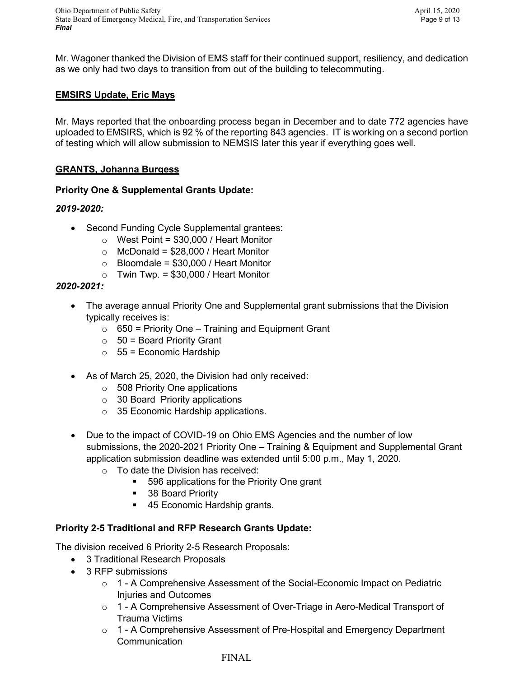# **EMSIRS Update, Eric Mays**

Mr. Mays reported that the onboarding process began in December and to date 772 agencies have uploaded to EMSIRS, which is 92 % of the reporting 843 agencies. IT is working on a second portion of testing which will allow submission to NEMSIS later this year if everything goes well.

# **GRANTS, Johanna Burgess**

# **Priority One & Supplemental Grants Update:**

# *2019-2020:*

- Second Funding Cycle Supplemental grantees:
	- $\circ$  West Point = \$30,000 / Heart Monitor
	- $\circ$  McDonald = \$28,000 / Heart Monitor
	- $\circ$  Bloomdale = \$30,000 / Heart Monitor
	- $\circ$  Twin Twp. = \$30,000 / Heart Monitor

# *2020-2021:*

- The average annual Priority One and Supplemental grant submissions that the Division typically receives is:
	- $\circ$  650 = Priority One Training and Equipment Grant
	- $\circ$  50 = Board Priority Grant
	- $\circ$  55 = Economic Hardship
- As of March 25, 2020, the Division had only received:
	- $\circ$  508 Priority One applications
	- $\circ$  30 Board Priority applications
	- o 35 Economic Hardship applications.
- Due to the impact of COVID-19 on Ohio EMS Agencies and the number of low submissions, the 2020-2021 Priority One – Training & Equipment and Supplemental Grant application submission deadline was extended until 5:00 p.m., May 1, 2020.
	- o To date the Division has received:
		- 596 applications for the Priority One grant
		- 38 Board Priority
		- 45 Economic Hardship grants.

# **Priority 2-5 Traditional and RFP Research Grants Update:**

The division received 6 Priority 2-5 Research Proposals:

- 3 Traditional Research Proposals
- 3 RFP submissions
	- $\circ$  1 A Comprehensive Assessment of the Social-Economic Impact on Pediatric Injuries and Outcomes
	- o 1 A Comprehensive Assessment of Over-Triage in Aero-Medical Transport of Trauma Victims
	- o 1 A Comprehensive Assessment of Pre-Hospital and Emergency Department Communication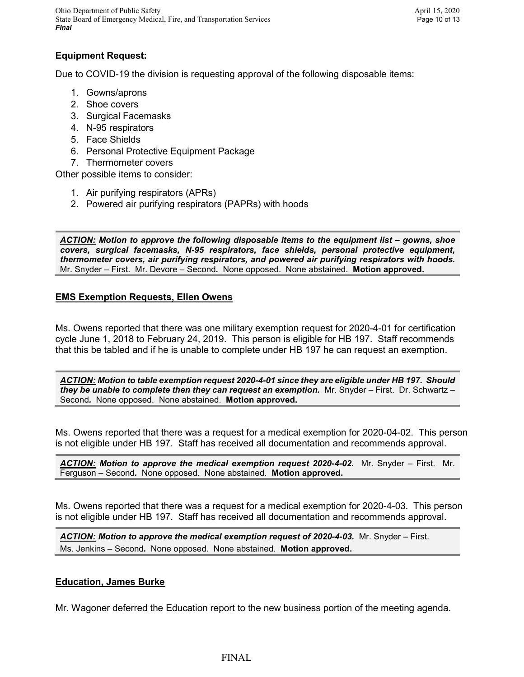Ohio Department of Public Safety April 15, 2020 State Board of Emergency Medical, Fire, and Transportation Services Page 10 of 13 *Final*

# **Equipment Request:**

Due to COVID-19 the division is requesting approval of the following disposable items:

- 1. Gowns/aprons
- 2. Shoe covers
- 3. Surgical Facemasks
- 4. N-95 respirators
- 5. Face Shields
- 6. Personal Protective Equipment Package
- 7. Thermometer covers

Other possible items to consider:

- 1. Air purifying respirators (APRs)
- 2. Powered air purifying respirators (PAPRs) with hoods

*ACTION: Motion to approve the following disposable items to the equipment list – gowns, shoe covers, surgical facemasks, N-95 respirators, face shields, personal protective equipment, thermometer covers, air purifying respirators, and powered air purifying respirators with hoods.*  Mr. Snyder – First. Mr. Devore – Second*.* None opposed. None abstained. **Motion approved.**

### **EMS Exemption Requests, Ellen Owens**

Ms. Owens reported that there was one military exemption request for 2020-4-01 for certification cycle June 1, 2018 to February 24, 2019. This person is eligible for HB 197. Staff recommends that this be tabled and if he is unable to complete under HB 197 he can request an exemption.

*ACTION: Motion to table exemption request 2020-4-01 since they are eligible under HB 197. Should they be unable to complete then they can request an exemption.* Mr. Snyder – First. Dr. Schwartz – Second*.* None opposed. None abstained. **Motion approved.**

Ms. Owens reported that there was a request for a medical exemption for 2020-04-02. This person is not eligible under HB 197. Staff has received all documentation and recommends approval.

*ACTION: Motion to approve the medical exemption request 2020-4-02.* Mr. Snyder – First. Mr. Ferguson – Second*.* None opposed. None abstained. **Motion approved.**

Ms. Owens reported that there was a request for a medical exemption for 2020-4-03. This person is not eligible under HB 197. Staff has received all documentation and recommends approval.

*ACTION: Motion to approve the medical exemption request of 2020-4-03.* Mr. Snyder – First. Ms. Jenkins – Second*.* None opposed. None abstained. **Motion approved.**

### **Education, James Burke**

Mr. Wagoner deferred the Education report to the new business portion of the meeting agenda.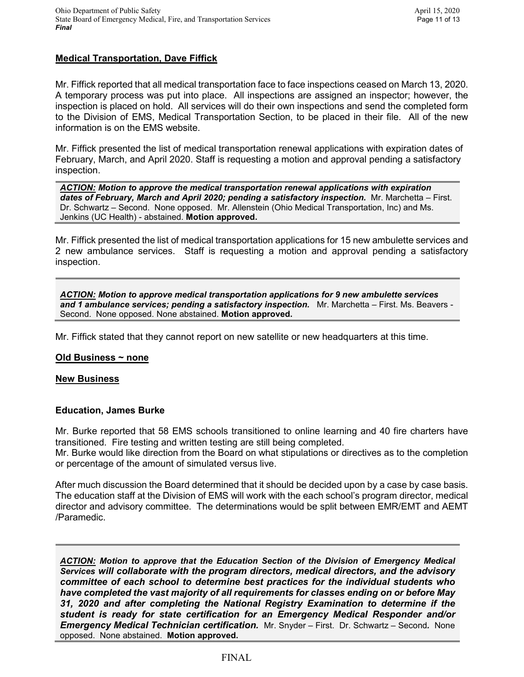# **Medical Transportation, Dave Fiffick**

Mr. Fiffick reported that all medical transportation face to face inspections ceased on March 13, 2020. A temporary process was put into place. All inspections are assigned an inspector; however, the inspection is placed on hold. All services will do their own inspections and send the completed form to the Division of EMS, Medical Transportation Section, to be placed in their file. All of the new information is on the EMS website.

Mr. Fiffick presented the list of medical transportation renewal applications with expiration dates of February, March, and April 2020. Staff is requesting a motion and approval pending a satisfactory inspection.

*ACTION: Motion to approve the medical transportation renewal applications with expiration dates of February, March and April 2020; pending a satisfactory inspection.* Mr. Marchetta – First. Dr. Schwartz – Second. None opposed. Mr. Allenstein (Ohio Medical Transportation, Inc) and Ms. Jenkins (UC Health) - abstained. **Motion approved.**

Mr. Fiffick presented the list of medical transportation applications for 15 new ambulette services and 2 new ambulance services. Staff is requesting a motion and approval pending a satisfactory inspection.

*ACTION: Motion to approve medical transportation applications for 9 new ambulette services and 1 ambulance services; pending a satisfactory inspection.* Mr. Marchetta – First. Ms. Beavers - Second. None opposed. None abstained. **Motion approved.**

Mr. Fiffick stated that they cannot report on new satellite or new headquarters at this time.

### **Old Business ~ none**

### **New Business**

### **Education, James Burke**

Mr. Burke reported that 58 EMS schools transitioned to online learning and 40 fire charters have transitioned. Fire testing and written testing are still being completed.

Mr. Burke would like direction from the Board on what stipulations or directives as to the completion or percentage of the amount of simulated versus live.

After much discussion the Board determined that it should be decided upon by a case by case basis. The education staff at the Division of EMS will work with the each school's program director, medical director and advisory committee. The determinations would be split between EMR/EMT and AEMT /Paramedic.

*ACTION: Motion to approve that the Education Section of the Division of Emergency Medical Services will collaborate with the program directors, medical directors, and the advisory committee of each school to determine best practices for the individual students who have completed the vast majority of all requirements for classes ending on or before May 31, 2020 and after completing the National Registry Examination to determine if the student is ready for state certification for an Emergency Medical Responder and/or Emergency Medical Technician certification.* Mr. Snyder – First. Dr. Schwartz – Second*.* None opposed. None abstained. **Motion approved.**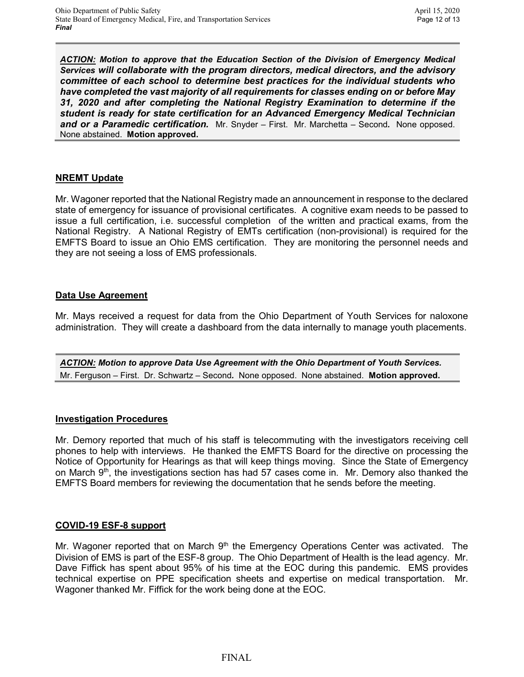*ACTION: Motion to approve that the Education Section of the Division of Emergency Medical Services will collaborate with the program directors, medical directors, and the advisory committee of each school to determine best practices for the individual students who have completed the vast majority of all requirements for classes ending on or before May 31, 2020 and after completing the National Registry Examination to determine if the student is ready for state certification for an Advanced Emergency Medical Technician and or a Paramedic certification.* Mr. Snyder – First. Mr. Marchetta – Second*.* None opposed. None abstained. **Motion approved.**

### **NREMT Update**

Mr. Wagoner reported that the National Registry made an announcement in response to the declared state of emergency for issuance of provisional certificates. A cognitive exam needs to be passed to issue a full certification, i.e. successful completion of the written and practical exams, from the National Registry. A National Registry of EMTs certification (non-provisional) is required for the EMFTS Board to issue an Ohio EMS certification. They are monitoring the personnel needs and they are not seeing a loss of EMS professionals.

### **Data Use Agreement**

Mr. Mays received a request for data from the Ohio Department of Youth Services for naloxone administration. They will create a dashboard from the data internally to manage youth placements.

*ACTION: Motion to approve Data Use Agreement with the Ohio Department of Youth Services.*  Mr. Ferguson – First. Dr. Schwartz – Second*.* None opposed. None abstained. **Motion approved.**

### **Investigation Procedures**

Mr. Demory reported that much of his staff is telecommuting with the investigators receiving cell phones to help with interviews. He thanked the EMFTS Board for the directive on processing the Notice of Opportunity for Hearings as that will keep things moving. Since the State of Emergency on March  $9<sup>th</sup>$ , the investigations section has had 57 cases come in. Mr. Demory also thanked the EMFTS Board members for reviewing the documentation that he sends before the meeting.

### **COVID-19 ESF-8 support**

Mr. Wagoner reported that on March 9<sup>th</sup> the Emergency Operations Center was activated. The Division of EMS is part of the ESF-8 group. The Ohio Department of Health is the lead agency. Mr. Dave Fiffick has spent about 95% of his time at the EOC during this pandemic. EMS provides technical expertise on PPE specification sheets and expertise on medical transportation. Mr. Wagoner thanked Mr. Fiffick for the work being done at the EOC.